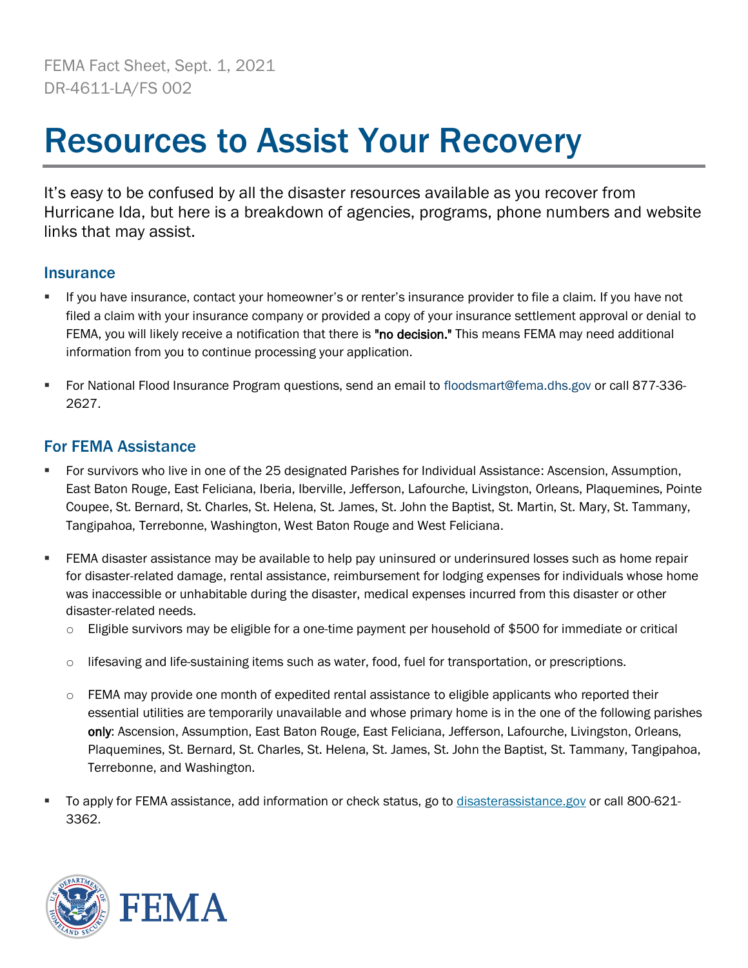FEMA Fact Sheet, Sept. 1, 2021 DR-4611-LA/FS 002

# Resources to Assist Your Recovery

It's easy to be confused by all the disaster resources available as you recover from Hurricane Ida, but here is a breakdown of agencies, programs, phone numbers and website links that may assist.

#### **Insurance**

- If you have insurance, contact your homeowner's or renter's insurance provider to file a claim. If you have not filed a claim with your insurance company or provided a copy of your insurance settlement approval or denial to FEMA, you will likely receive a notification that there is "no decision." This means FEMA may need additional information from you to continue processing your application.
- For National Flood Insurance Program questions, send an email to floodsmart@fema.dhs.gov or call 877-336- 2627.

## For FEMA Assistance

- For survivors who live in one of the 25 designated Parishes for Individual Assistance: Ascension, Assumption, East Baton Rouge, East Feliciana, Iberia, Iberville, Jefferson, Lafourche, Livingston, Orleans, Plaquemines, Pointe Coupee, St. Bernard, St. Charles, St. Helena, St. James, St. John the Baptist, St. Martin, St. Mary, St. Tammany, Tangipahoa, Terrebonne, Washington, West Baton Rouge and West Feliciana.
- **FEMA disaster assistance may be available to help pay uninsured or underinsured losses such as home repair** for disaster-related damage, rental assistance, reimbursement for lodging expenses for individuals whose home was inaccessible or unhabitable during the disaster, medical expenses incurred from this disaster or other disaster-related needs.
	- $\circ$  Eligible survivors may be eligible for a one-time payment per household of \$500 for immediate or critical
	- $\circ$  lifesaving and life-sustaining items such as water, food, fuel for transportation, or prescriptions.
	- $\circ$  FEMA may provide one month of expedited rental assistance to eligible applicants who reported their essential utilities are temporarily unavailable and whose primary home is in the one of the following parishes only: Ascension, Assumption, East Baton Rouge, East Feliciana, Jefferson, Lafourche, Livingston, Orleans, Plaquemines, St. Bernard, St. Charles, St. Helena, St. James, St. John the Baptist, St. Tammany, Tangipahoa, Terrebonne, and Washington.
- To apply for FEMA assistance, add information or check status, go to [disasterassistance.gov](https://www.disasterassistance.gov/) or call 800-621-3362.

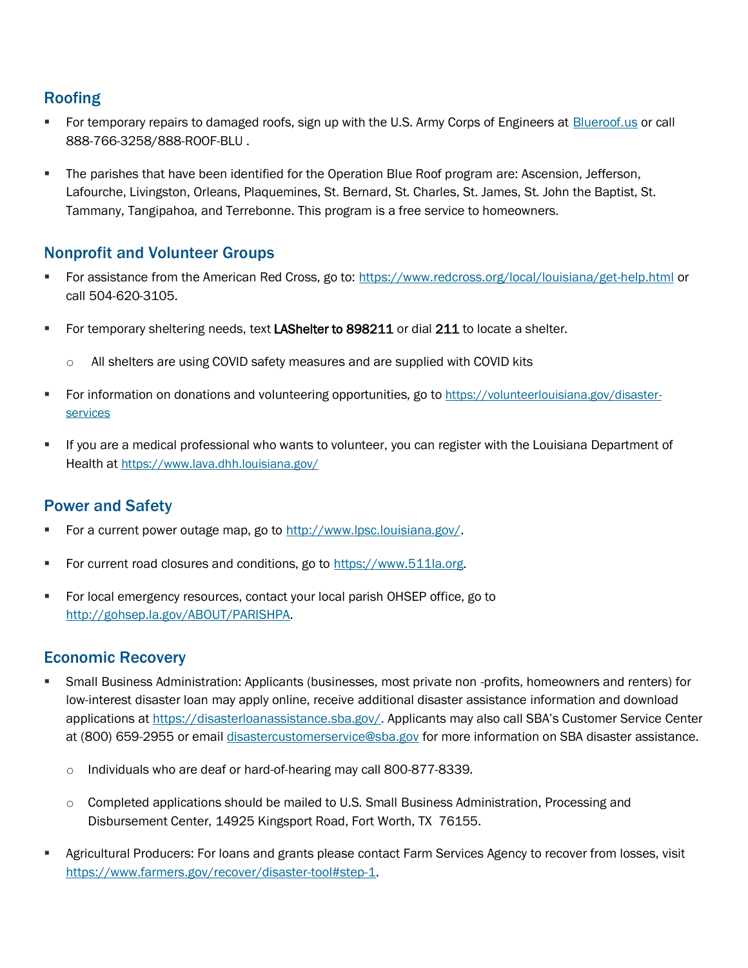## Roofing

- For temporary repairs to damaged roofs, sign up with the U.S. Army Corps of Engineers at [Blueroof.us](https://arcportal-ucop-partners.usace.army.mil/usaceportal/apps/sites/#/usace-blue-roof-online-signup) or call 888-766-3258/888-ROOF-BLU .
- **.** The parishes that have been identified for the Operation Blue Roof program are: Ascension, Jefferson, Lafourche, Livingston, Orleans, Plaquemines, St. Bernard, St. Charles, St. James, St. John the Baptist, St. Tammany, Tangipahoa, and Terrebonne. This program is a free service to homeowners.

## Nonprofit and Volunteer Groups

- For assistance from the American Red Cross, go to:<https://www.redcross.org/local/louisiana/get-help.html> or call 504-620-3105.
- For temporary sheltering needs, text LAShelter to 898211 or dial 211 to locate a shelter.
	- $\circ$  All shelters are using COVID safety measures and are supplied with COVID kits
- **EXECT FOR INFORMATION CONDUCT 10 ATT CONTEGR** FOR THE FORM ON THE FORMATION ON A SUBSEMBERFE[services](https://volunteerlouisiana.gov/disaster-services)
- If you are a medical professional who wants to volunteer, you can register with the Louisiana Department of Health at <https://www.lava.dhh.louisiana.gov/>

## Power and Safety

- For a current power outage map, go to [http://www.lpsc.louisiana.gov/.](http://www.lpsc.louisiana.gov/)
- For current road closures and conditions, go to [https://www.511la.org.](https://www.511la.org/)
- For local emergency resources, contact your local parish OHSEP office, go to [http://gohsep.la.gov/ABOUT/PARISHPA.](http://gohsep.la.gov/ABOUT/PARISHPA)

## Economic Recovery

- Small Business Administration: Applicants (businesses, most private non -profits, homeowners and renters) for low-interest disaster loan may apply online, receive additional disaster assistance information and download applications at [https://disasterloanassistance.sba.gov/.](https://disasterloanassistance.sba.gov/) Applicants may also call SBA's Customer Service Center at (800) 659-2955 or emai[l disastercustomerservice@sba.gov](mailto:disastercustomerservice@sba.gov) for more information on SBA disaster assistance.
	- o Individuals who are deaf or hard-of-hearing may call 800-877-8339.
	- $\circ$  Completed applications should be mailed to U.S. Small Business Administration, Processing and Disbursement Center, 14925 Kingsport Road, Fort Worth, TX 76155.
- Agricultural Producers: For loans and grants please contact Farm Services Agency to recover from losses, visit [https://www.farmers.gov/recover/disaster-tool#step-1.](https://gcc02.safelinks.protection.outlook.com/?url=https%3A%2F%2Fwww.farmers.gov%2Frecover%2Fdisaster-tool%23step-1&data=04%7C01%7Csusheel.kumar%40sba.gov%7C599ac945fcae461af0b708d96d91b9b6%7C3c89fd8a7f684667aa1541ebf2208961%7C1%7C1%7C637661294922139511%7CUnknown%7CTWFpbGZsb3d8eyJWIjoiMC4wLjAwMDAiLCJQIjoiV2luMzIiLCJBTiI6Ik1haWwiLCJXVCI6Mn0%3D%7C1000&sdata=iIpNRgzd%2BlLUdrusO51%2B%2BpzqMnveH%2BK7t%2FZOeSyG78A%3D&reserved=0)